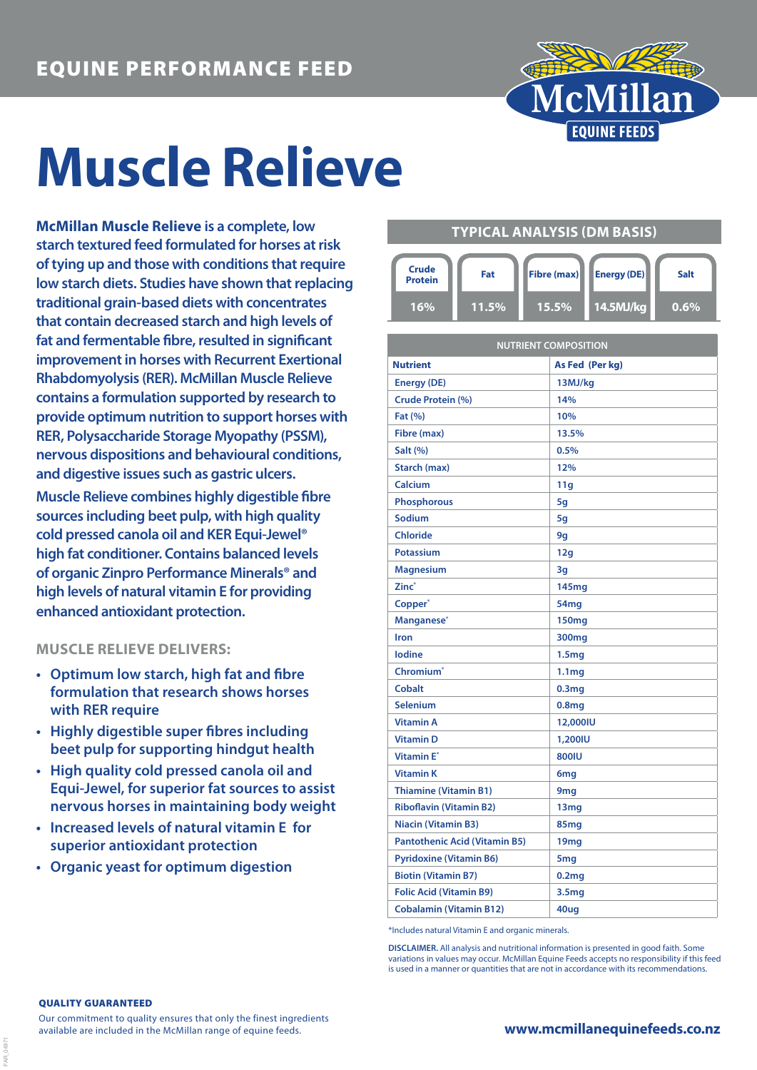

# **Muscle Relieve**

**McMillan Muscle Relieve is a complete, low starch textured feed formulated for horses at risk of tying up and those with conditions that require low starch diets. Studies have shown that replacing traditional grain-based diets with concentrates that contain decreased starch and high levels of fat and fermentable fibre, resulted in significant improvement in horses with Recurrent Exertional Rhabdomyolysis (RER). McMillan Muscle Relieve contains a formulation supported by research to provide optimum nutrition to support horses with RER, Polysaccharide Storage Myopathy (PSSM), nervous dispositions and behavioural conditions, and digestive issues such as gastric ulcers.**

**Muscle Relieve combines highly digestible fibre sources including beet pulp, with high quality cold pressed canola oil and KER Equi-Jewel® high fat conditioner. Contains balanced levels of organic Zinpro Performance Minerals® and high levels of natural vitamin E for providing enhanced antioxidant protection.**

## **MUSCLE RELIEVE DELIVERS:**

- **• Optimum low starch, high fat and fibre formulation that research shows horses with RER require**
- **• Highly digestible super fibres including beet pulp for supporting hindgut health**
- **• High quality cold pressed canola oil and Equi-Jewel, for superior fat sources to assist nervous horses in maintaining body weight**
- **• Increased levels of natural vitamin E for superior antioxidant protection**
- **• Organic yeast for optimum digestion**

# **TYPICAL ANALYSIS (DM BASIS)**

| <b>Crude</b><br><b>Protein</b> | Fat          | Fibre (max) | <b>Energy (DE)</b> | Salt    |
|--------------------------------|--------------|-------------|--------------------|---------|
| 16%                            | <b>11.5%</b> | $15.5\%$    | .14.5MJ/ka '       | $0.6\%$ |

| <b>NUTRIENT COMPOSITION</b>          |                   |  |  |  |
|--------------------------------------|-------------------|--|--|--|
| <b>Nutrient</b>                      | As Fed (Per kg)   |  |  |  |
| <b>Energy (DE)</b>                   | 13MJ/kg           |  |  |  |
| <b>Crude Protein (%)</b>             | 14%               |  |  |  |
| <b>Fat (%)</b>                       | 10%               |  |  |  |
| Fibre (max)                          | 13.5%             |  |  |  |
| Salt (%)                             | 0.5%              |  |  |  |
| Starch (max)                         | 12%               |  |  |  |
| Calcium                              | 11g               |  |  |  |
| <b>Phosphorous</b>                   | 5q                |  |  |  |
| Sodium                               | 5g                |  |  |  |
| <b>Chloride</b>                      | 9g                |  |  |  |
| <b>Potassium</b>                     | 12g               |  |  |  |
| <b>Magnesium</b>                     | 3g                |  |  |  |
| Zinc <sup>*</sup>                    | 145 <sub>mg</sub> |  |  |  |
| Copper <sup>*</sup>                  | 54mg              |  |  |  |
| Manganese*                           | 150 <sub>mg</sub> |  |  |  |
| Iron                                 | 300 <sub>mg</sub> |  |  |  |
| lodine                               | 1.5 <sub>mg</sub> |  |  |  |
| Chromium <sup>*</sup>                | 1.1 <sub>mg</sub> |  |  |  |
| Cobalt                               | 0.3 <sub>mg</sub> |  |  |  |
| <b>Selenium</b>                      | 0.8 <sub>mg</sub> |  |  |  |
| <b>Vitamin A</b>                     | 12,000IU          |  |  |  |
| <b>Vitamin D</b>                     | 1,200IU           |  |  |  |
| <b>Vitamin E</b> *                   | <b>800IU</b>      |  |  |  |
| <b>Vitamin K</b>                     | 6 <sub>mg</sub>   |  |  |  |
| <b>Thiamine (Vitamin B1)</b>         | 9 <sub>mg</sub>   |  |  |  |
| <b>Riboflavin (Vitamin B2)</b>       | 13mg              |  |  |  |
| <b>Niacin (Vitamin B3)</b>           | 85mg              |  |  |  |
| <b>Pantothenic Acid (Vitamin B5)</b> | 19mg              |  |  |  |
| <b>Pyridoxine (Vitamin B6)</b>       | 5 <sub>mg</sub>   |  |  |  |
| <b>Biotin (Vitamin B7)</b>           | 0.2 <sub>mg</sub> |  |  |  |
| <b>Folic Acid (Vitamin B9)</b>       | 3.5 <sub>mg</sub> |  |  |  |
| <b>Cobalamin (Vitamin B12)</b>       | 40ug              |  |  |  |

\*Includes natural Vitamin E and organic minerals.

**DISCLAIMER.** All analysis and nutritional information is presented in good faith. Some variations in values may occur. McMillan Equine Feeds accepts no responsibility if this feed is used in a manner or quantities that are not in accordance with its recommendations

#### QUALITY GUARANTEED

FAR\_04971

Our commitment to quality ensures that only the finest ingredients available are included in the McMillan range of equine feeds.